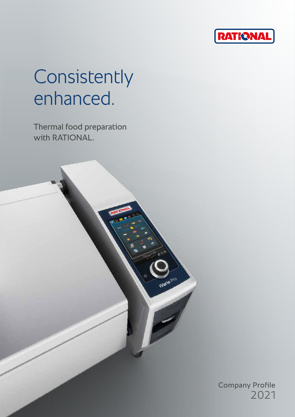

# **Consistently** enhanced.

Thermal food preparation with RATIONAL.



2021 Company Profile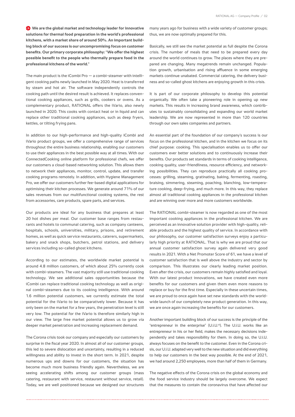**We are the global market and technology leader for innovative solutions for thermal food preparation in the world's professional kitchens, with a market share of around 50%. An important building block of our success is our uncompromising focus on customer benefits. Our primary corporate philosophy: "We offer the highest possible benefit to the people who thermally prepare food in the professional kitchens of the world."**

The main product is the iCombi Pro — a combi-steamer with intelligent cooking paths newly launched in May 2020. Heat is transferred by steam and hot air. The software independently controls the cooking path until the desired result is achieved. It replaces conventional cooking appliances, such as grills, cookers or ovens. As a complementary product, RATIONAL offers the iVario, also newly launched in 2020. This cooks with contact heat or in liquid and can replace other traditional cooking appliances, such as deep fryers, kettles, or tilting frying pans.

In addition to our high-performance and high-quality iCombi and iVario product groups, we offer a comprehensive range of services throughout the entire business relationship, enabling our customers to use their appliances in the best possible way at all times. With our ConnectedCooking online platform for professional chefs, we offer our customers a cloud-based networking solution. This allows them to network their appliances, monitor, control, update, and transfer cooking programs remotely. In addition, with Hygiene Management Pro, we offer our customers further fee-based digital applications for optimising their kitchen processes. We generate around 71% of our sales revenues from our multifunctional cooking systems, the rest from accessories, care products, spare parts, and services.

Our products are ideal for any business that prepares at least 20 hot dishes per meal. Our customer base ranges from restaurants and hotels to communal catering, such as company canteens, hospitals, schools, universities, military, prisons, and retirement homes, as well as quick service restaurants, caterers, supermarkets, bakery and snack shops, butchers, petrol stations, and delivery services including so-called ghost kitchens.

According to our estimates, the worldwide market potential is around 4.8 million customers, of which about 25% currently cook with combi-steamers. The vast majority still use traditional cooking technology. We see additional sales opportunities because the iCombi can replace traditional cooking technology as well as original combi-steamers due to its cooking intelligence. With around 1.6 million potential customers, we currently estimate the total potential for the iVario to be comparatively lower. Because it has only been on the market for a few years, the penetration level is still very low. The potential for the iVario is therefore similarly high in our view. The large free market potential allows us to grow via deeper market penetration and increasing replacement demand.

The Corona crisis took our company and especially our customers by surprise in the fiscal year 2020. In almost all of our customer groups, this led to severe dislocation and uncertainty, resulting in a reduced willingness and ability to invest in the short term. In 2021, despite numerous ups and downs for our customers, the situation has become much more business friendly again. Nevertheless, we are seeing accelerating shifts among our customer groups (mass catering, restaurant with service, restaurant without service, retail). Today, we are well positioned because we designed our structures

many years ago for business with a wide variety of customer groups; thus, we are now optimally prepared for this.

Basically, we still see the market potential as full despite the Corona crisis. The number of meals that need to be prepared every day around the world continues to grow. The places where they are prepared are changing. Many megatrends remain unchanged. Population growth, urbanisation and rising affluence in some emerging markets continue unabated. Commercial catering, the delivery business and so-called ghost kitchens are enjoying growth in this crisis.

It is part of our corporate philosophy to develop this potential organically. We often take a pioneering role in opening up new markets. This results in increasing brand awareness, which contributes to sustainably consolidating and expanding our world market leadership. We are now represented in more than 120 countries through our own sales companies and partners.

An essential part of the foundation of our company's success is our focus on the professional kitchen, and in the kitchen we focus on its chief purpose: cooking. This specialisation enables us to offer our customers ever better solutions and to continuously increase their benefits. Our products set standards in terms of cooking intelligence, cooking quality, user-friendliness, resource efficiency, and networking possibilities. They can reproduce practically all cooking processes: grilling, steaming, gratinating, baking, fermenting, roasting, braising, simmering, steaming, poaching, blanching, low-temperature cooking, deep-frying, and much more. In this way, they replace almost all traditional cooking appliances in the professional kitchen and are winning over more and more customers worldwide.

The RATIONAL combi-steamer is now regarded as one of the most important cooking appliances in the professional kitchen. We are perceived as an innovative solution provider with high-quality, reliable products and the highest quality of service. In accordance with our philosophy, our customer satisfaction surveys enjoy a particularly high priority at RATIONAL. That is why we are proud that our annual customer satisfaction survey again delivered very good results in 2021. With a Net Promoter Score of 61, we have a level of customer satisfaction that is well above the industry and sector by comparison. This illustrates our clearly leading market position. Even after the crisis, our customers remain highly satisfied and loyal. With our latest product innovations, we have created even more benefits for our customers and given them even more reasons to replace or buy for the first time. Especially in these uncertain times, we are proud to once again have set new standards with the worldwide launch of our completely new product generation. In this way, we are once again increasing the benefits for our customers.

Another important building block of our success is the principle of the "entrepreneur in the enterprise" (U.i.U.®). The U.i.U. works like an entrepreneur in his or her field, makes the necessary decisions independently and takes responsibility for them. In doing so, the U.i.U. always focuses on the benefit to the customer. Even in the Corona crisis, our U.i.U. adapted very well to the new situation and did everything to help our customers in the best way possible. At the end of 2021, we had around 2,250 employees, more than half of them in Germany.

The negative effects of the Corona crisis on the global economy and the food service industry should be largely overcome. We expect that the measures to contain the coronavirus that have affected our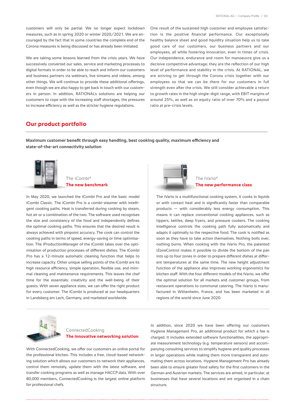customers will only be partial. We no longer expect lockdown measures, such as in spring 2020 or winter 2020/2021. We are encouraged by the fact that in some countries the complete end of the Corona measures is being discussed or has already been initiated.

We are taking some lessons learned from the crisis years. We have successively converted our sales, service and marketing processes to digital formats in order to be able to reach and inform our customers and business partners via webinars, live streams and videos, among other things. We will continue to provide these additional offerings, even though we are also happy to get back in touch with our customers in person. In addition, RATIONAL's solutions are helping our customers to cope with the increasing staff shortages, the pressures to increase efficiency as well as the stricter hygiene regulations.

One result of the sustained high customer and employee satisfaction is the positive financial performance. Our exceptionally healthy balance sheet and good liquidity situation help us to take good care of our customers, our business partners and our employees, all while fostering innovation, even in times of crisis. Our independence, endurance and room for manoeuvre give us a decisive competitive advantage; they are the reflection of our high level of performance and stability in the crisis. At RATIONAL, we are striving to get through the Corona crisis together with our employees so that we can be there for our customers in full strength even after the crisis. We still consider achievable a return to growth rates in the high single-digit range, with EBIT margins of around 25%, as well as an equity ratio of over 70% and a payout ratio at pre-crisis levels.

## **Our product portfolio Our product portfolio**

**Maximum customer benefi t through easy handling, best cooking quality, maximum efficiency and state-of-the-art connectivity solutionMaximum customer benefit through easy handling, best cooking quality, maximum efficiency and** 



## The iCombi® **The new benchmark**

In May 2020, we launched the iCombi Pro and the basic model iCombi Classic. The iCombi Pro is a combi-steamer with intelligent cooking paths. Heat is transferred during cooking by steam, hot air or a combination of the two. The software used recognises the size and consistency of the food and independently defines the optimal cooking paths. This ensures that the desired result is always achieved with pinpoint accuracy. The cook can control the cooking paths in terms of speed, energy-saving or time optimisation. The iProductionManager of the iCombi takes over the optimisation of production processes of different dishes. The iCombi Pro has a 12-minute automatic cleaning function that helps to increase capacity. Other unique selling points of the iCombi are its high resource efficiency, simple operation, flexible use, and minimal cleaning and maintenance requirements. This leaves the chef time for the essentials: creativity and the well-being of their guests. With seven appliance sizes, we can offer the right product for every customer. The iCombi is produced at our headquarters in Landsberg am Lech, Germany, and marketed worldwide.



## The iVario® **The new performance class**

The iVario is a multifunctional cooking system, it cooks in liquids or with contact heat and is significantly faster than comparable products — with considerably less energy consumption. This means it can replace conventional cooking appliances, such as tippers, kettles, deep fryers, and pressure cookers. The cooking intelligence controls the cooking path fully automatically and adapts it optimally to the respective food. The cook is notified as soon as they have to take action themselves. Nothing boils over, nothing burns. When cooking with the iVario Pro, the patented iZoneControl makes it possible to divide the bottom of the pan into up to four zones in order to prepare different dishes at different temperatures at the same time. The new height adjustment function of the appliance also improves working ergonomics for kitchen staff. With the four different models of the iVario, we offer the optimal solution for all markets and customer groups, from restaurant operations to communal catering. The iVario is manufactured in Wittenheim, France, and has been marketed in all regions of the world since June 2020.



#### ConnectedCooking **The innovative networking solution**

With ConnectedCooking, we offer our customers an online portal for the professional kitchen. This includes a free, cloud-based networking solution which allows our customers to network their appliances, control them remotely, update them with the latest software, and transfer cooking programs as well as manage HACCP data. With over 80,000 members, ConnectedCooking is the largest online platform for professional chefs.

In addition, since 2020 we have been offering our customers Hygiene Management Pro, an additional product for which a fee is charged. It includes extended software functionalities, the appropriate measurement technology (e.g. temperature sensors) and accompanying consulting services to simplify hygiene and quality processes in larger operations while making them more transparent and automating them across locations. Hygiene Management Pro has already been able to ensure greater food safety for the first customers in the German and Austrian markets. The services are aimed, in particular, at businesses that have several locations and are organised in a chain structure.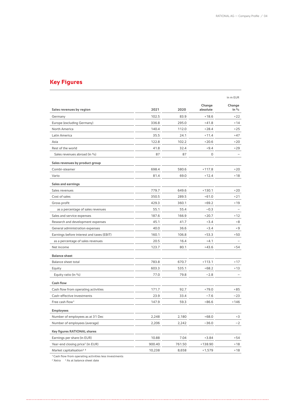## **Key Figures**

|                                                 |        |        |                    | in m EUR         |
|-------------------------------------------------|--------|--------|--------------------|------------------|
| Sales revenues by region                        | 2021   | 2020   | Change<br>absolute | Change<br>in $%$ |
| Germany                                         | 102.5  | 83.9   | $+18.6$            | $+22$            |
| Europe (excluding Germany)                      | 336.8  | 295.0  | $+41.8$            | $+14$            |
| North America                                   | 140.4  | 112.0  | $+28.4$            | $+25$            |
| Latin America                                   | 35.5   | 24.1   | $+11.4$            | $+47$            |
| Asia                                            | 122.8  | 102.2  | $+20.6$            | $+20$            |
| Rest of the world                               | 41.8   | 32.4   | $+9.4$             | $+29$            |
| Sales revenues abroad (in %)                    | 87     | 87     | 0                  |                  |
| Sales revenues by product group                 |        |        |                    |                  |
| Combi-steamer                                   | 698.4  | 580.6  | $+117.8$           | $+20$            |
| Vario                                           | 81.4   | 69.0   | $+12.4$            | $+18$            |
| <b>Sales and earnings</b>                       |        |        |                    |                  |
| Sales revenues                                  | 779.7  | 649.6  | $+130.1$           | $+20$            |
| Cost of sales                                   | 350.5  | 289.5  | $+61.0$            | $+21$            |
| Gross profit                                    | 429.3  | 360.1  | $+69.2$            | $+19$            |
| as a percentage of sales revenues               | 55.1   | 55.4   | $-0.3$             |                  |
| Sales and service expenses                      | 187.6  | 166.9  | $+20.7$            | $+12$            |
| Research and development expenses               | 45.1   | 41.7   | $+3.4$             | $+8$             |
| General administration expenses                 | 40.0   | 36.6   | $+3.4$             | $+9$             |
| Earnings before interest and taxes (EBIT)       | 160.1  | 106.8  | $+53.3$            | $+50$            |
| as a percentage of sales revenues               | 20.5   | 16.4   | $+4.1$             |                  |
| Net income                                      | 123.7  | 80.1   | $+43.6$            | $+54$            |
| <b>Balance sheet</b>                            |        |        |                    |                  |
| Balance sheet total                             | 783.8  | 670.7  | $+113.1$           | $+17$            |
| Equity                                          | 603.3  | 535.1  | $+68.2$            | $+13$            |
| Equity ratio (in $\%$ )                         | 77.0   | 79.8   | $-2.8$             |                  |
| <b>Cash flow</b>                                |        |        |                    |                  |
| Cash flow from operating activities             | 171.7  | 92.7   | $+79.0$            | $+85$            |
| Cash-effective investments                      | 23.9   | 33.4   | $-7.6$             | $-23$            |
| Free cash flow <sup>1</sup>                     | 147.9  | 59.3   | $+86.6$            | $+146$           |
| <b>Employees</b>                                |        |        |                    |                  |
| Number of employees as at 31 Dec                | 2,248  | 2,180  | $+68.0$            | $+3$             |
| Number of employees (average)                   | 2,206  | 2,242  | $-36.0$            | $-2$             |
| Key figures RATIONAL shares                     |        |        |                    |                  |
| Earnings per share (in EUR)                     | 10.88  | 7.04   | $+3.84$            | $+54$            |
| Year-end closing price <sup>2</sup> (in EUR)    | 900.40 | 761.50 | $+138.90$          | $+18$            |
| Market capitalisation <sup>2</sup> <sup>3</sup> | 10,238 | 8,658  | $+1,579$           | $+18$            |

1 Cash flow from operating activities less investments

 $2$  Xetra  $3$  As at balance sheet date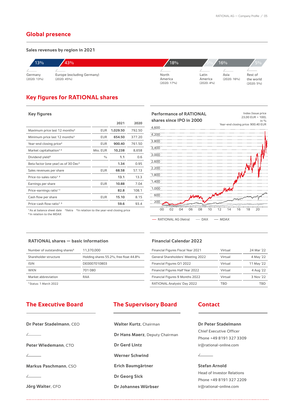#### **Sales revenues by region in 2021**

| 13%        | 43%                        | 18%           | 16%          | $5\%$         |              |
|------------|----------------------------|---------------|--------------|---------------|--------------|
|            |                            |               |              |               |              |
| Germany    | Europe (excluding Germany) | North         | Latin        | Asia          | Rest of      |
| (2020:13%) | (2020:45%)                 | America       | America      | $(2020:16\%)$ | the world    |
|            |                            | $(2020:17\%)$ | $(2020:4\%)$ |               | $(2020:5\%)$ |

## **Key figures for RATIONAL shares**

#### **Key figures**

|                                                                                                                       |            | 2021     | 2020   |  |  |  |  |  |
|-----------------------------------------------------------------------------------------------------------------------|------------|----------|--------|--|--|--|--|--|
| Maximum price last 12 months <sup>2</sup>                                                                             | <b>EUR</b> | 1.029.50 | 792.50 |  |  |  |  |  |
| Minimum price last 12 months <sup>2</sup>                                                                             | <b>EUR</b> | 654.50   | 377.20 |  |  |  |  |  |
| Year-end closing price <sup>2</sup>                                                                                   | <b>EUR</b> | 900.40   | 761.50 |  |  |  |  |  |
| Market capitalisation <sup>12</sup>                                                                                   | Mio. EUR   | 10,238   | 8,658  |  |  |  |  |  |
| Dividend yield <sup>3</sup>                                                                                           | $\%$       | 1.1      | 0.6    |  |  |  |  |  |
| Beta factor (one year) as of 30 Dec <sup>4</sup>                                                                      |            | 1.34     | 0.95   |  |  |  |  |  |
| Sales revenues per share                                                                                              | <b>EUR</b> | 68.58    | 57.13  |  |  |  |  |  |
| Price-to-sales ratio <sup>13</sup>                                                                                    |            | 13.1     | 13.3   |  |  |  |  |  |
| Earnings per share                                                                                                    | <b>EUR</b> | 10.88    | 7.04   |  |  |  |  |  |
| Price-earnings ratio <sup>13</sup>                                                                                    |            | 82.8     | 108.1  |  |  |  |  |  |
| Cash flow per share                                                                                                   | <b>EUR</b> | 15.10    | 8.15   |  |  |  |  |  |
| Price-cash flow ratio <sup>13</sup>                                                                                   |            | 59.6     | 93.4   |  |  |  |  |  |
| <sup>2</sup> Xetra<br><sup>1</sup> As at balance sheet date<br><sup>3</sup> In relation to the year-end closing price |            |          |        |  |  |  |  |  |

**Performance of RATIONAL shares since IPO in 2000**

Index (issue price 23,00 EUR = 100); in %



4 In relation to the MDAX

 $-$  RATIONAL AG (Xetra)  $-$  DAX  $-$  MDAX

#### **RATIONAL shares — basic information**

| Number of outstanding shares <sup>5</sup> | 11.370.000                             |
|-------------------------------------------|----------------------------------------|
| Shareholder structure                     | Holding shares 55.2%, free float 44.8% |
| <b>ISIN</b>                               | DE0007010803                           |
| <b>WKN</b>                                | 701080                                 |
| Market abbreviation                       | RAA                                    |
| <sup>5</sup> Status: 1 March 2022         |                                        |

#### **Financial Calendar 2022**

| Financial Figures Fiscal Year 2021 | Virtual | 24 Mar '22 |
|------------------------------------|---------|------------|
| General Shareholders' Meeting 2022 | Virtual | 4 May '22  |
| Financial Figures Q1 2022          | Virtual | 11 May '22 |
| Financial Figures Half Year 2022   | Virtual | 4 Aug '22  |
| Financial Figures 9 Months 2022    | Virtual | 3 Nov '22  |
| RATIONAL Analysts' Day 2022        | TRD     | TRD        |

## **The Executive Board**

| <b>Dr Peter Stadelmann, CEO</b> | <b>Walter Kurtz, Chairman</b>  |
|---------------------------------|--------------------------------|
|                                 | Dr Hans Maerz, Deputy Chairman |
| <b>Peter Wiedemann. CTO</b>     | <b>Dr Gerd Lintz</b>           |
| $\mathcal{L}$ and $\mathcal{L}$ | <b>Werner Schwind</b>          |
| Markus Paschmann, CSO           | Erich Baumgärtner              |
|                                 | Dr Georg Sick                  |
| Jörg Walter, CFO                | Dr Johannes Würbser            |

**The Supervisory Board**

## **Contact**

 $\angle$ 

**Dr Peter Stadelmann** Chief Executive Officer Phone +49 8191 327 3309 ir@rational-online.com

**Stefan Arnold** Head of Investor Relations Phone +49 8191 327 2209 ir@rational-online.com